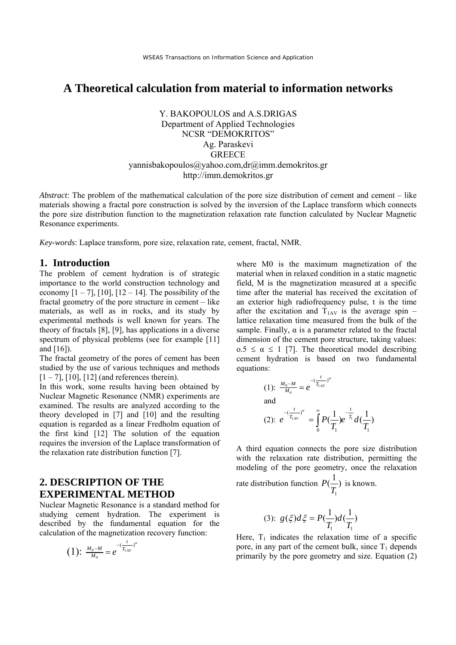# **A Theoretical calculation from material to information networks**

Y. BAKOPOULOS and A.S.DRIGAS Department of Applied Technologies NCSR "DEMOKRITOS" Ag. Paraskevi GREECE yannisbakopoulos@yahoo.com,dr@imm.demokritos.gr http://imm.demokritos.gr

*Abstract*: The problem of the mathematical calculation of the pore size distribution of cement and cement – like materials showing a fractal pore construction is solved by the inversion of the Laplace transform which connects the pore size distribution function to the magnetization relaxation rate function calculated by Nuclear Magnetic Resonance experiments.

*Key-words*: Laplace transform, pore size, relaxation rate, cement, fractal, NMR.

### **1. Introduction**

The problem of cement hydration is of strategic importance to the world construction technology and economy  $[1 - 7]$ ,  $[10]$ ,  $[12 - 14]$ . The possibility of the fractal geometry of the pore structure in cement – like materials, as well as in rocks, and its study by experimental methods is well known for years. The theory of fractals [8], [9], has applications in a diverse spectrum of physical problems (see for example [11] and [16]).

The fractal geometry of the pores of cement has been studied by the use of various techniques and methods  $[1 - 7]$ ,  $[10]$ ,  $[12]$  (and references therein).

In this work, some results having been obtained by Nuclear Magnetic Resonance (NMR) experiments are examined. The results are analyzed according to the theory developed in [7] and [10] and the resulting equation is regarded as a linear Fredholm equation of the first kind [12] The solution of the equation requires the inversion of the Laplace transformation of the relaxation rate distribution function [7].

### **2. DESCRIPTION OF THE EXPERIMENTAL METHOD**

Nuclear Magnetic Resonance is a standard method for studying cement hydration. The experiment is described by the fundamental equation for the calculation of the magnetization recovery function:

(1): 
$$
\frac{M_0 - M}{M_0} = e^{-(\frac{t}{T_{1AV}})^{\alpha}}
$$

where M0 is the maximum magnetization of the material when in relaxed condition in a static magnetic field, M is the magnetization measured at a specific time after the material has received the excitation of an exterior high radiofrequency pulse, t is the time after the excitation and  $T_{1AV}$  is the average spin – lattice relaxation time measured from the bulk of the sample. Finally,  $\alpha$  is a parameter related to the fractal dimension of the cement pore structure, taking values: o.5  $\leq \alpha \leq 1$  [7]. The theoretical model describing cement hydration is based on two fundamental equations:

(1): 
$$
\frac{M_0 - M}{M_0} = e^{-(\frac{t}{T_{1AV}})^{\alpha}}
$$
  
and  
(2): 
$$
e^{-(\frac{t}{T_{1AV}})^{\alpha}} = \int_{0}^{\infty} P(\frac{1}{T_1}) e^{-\frac{t}{T_1}} d(\frac{1}{T_1})
$$

A third equation connects the pore size distribution with the relaxation rate distribution, permitting the modeling of the pore geometry, once the relaxation

rate distribution function 1  $P(\frac{1}{n})$ *T* is known.

$$
(3): g(\xi)d\xi = P(\frac{1}{T_1})d(\frac{1}{T_1})
$$

Here,  $T_1$  indicates the relaxation time of a specific pore, in any part of the cement bulk, since  $T_1$  depends primarily by the pore geometry and size. Equation (2)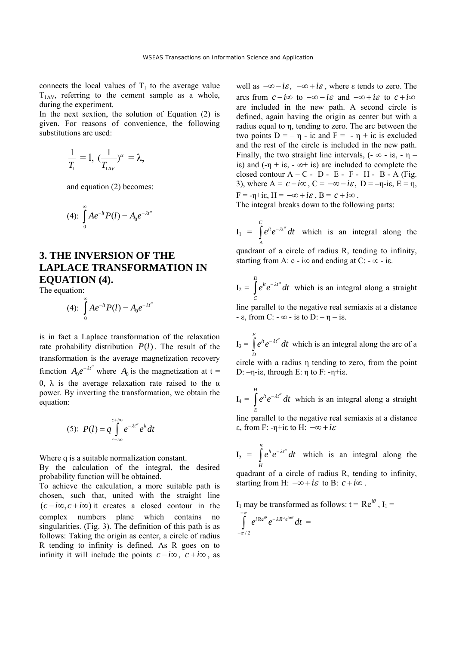connects the local values of  $T_1$  to the average value  $T_{1AV}$ , referring to the cement sample as a whole, during the experiment.

In the next sextion, the solution of Equation (2) is given. For reasons of convenience, the following substitutions are used:

$$
\frac{1}{T_1}=1, \; (\frac{1}{T_{1AV}})^{\alpha}=\lambda,
$$

and equation (2) becomes:

(4): 
$$
\int_{0}^{\infty} Ae^{-lt}P(l) = A_0e^{-\lambda t^{\alpha}}
$$

## **3. THE INVERSION OF THE LAPLACE TRANSFORMATION IN EQUATION (4).**

The equation:

(4): 
$$
\int_{0}^{\infty} Ae^{-lt}P(l) = A_0e^{-\lambda t^{\alpha}}
$$

is in fact a Laplace transformation of the relaxation rate probability distribution  $P(l)$ . The result of the transformation is the average magnetization recovery function  $A_0 e^{-\lambda t^{\alpha}}$  where  $A_0$  is the magnetization at t = 0, λ is the average relaxation rate raised to the  $α$ power. By inverting the transformation, we obtain the equation:

$$
(5): P(l) = q \int_{c-i\infty}^{c+i\infty} e^{-\lambda t^{\alpha}} e^{lt} dt
$$

Where q is a suitable normalization constant.

By the calculation of the integral, the desired probability function will be obtained.

To achieve the calculation, a more suitable path is chosen, such that, united with the straight line  $(c - i\infty, c + i\infty)$  it creates a closed contour in the complex numbers plane which contains no singularities. (Fig. 3). The definition of this path is as follows: Taking the origin as center, a circle of radius R tending to infinity is defined. As R goes on to infinity it will include the points  $c - i\infty$ ,  $c + i\infty$ , as

well as  $-\infty - i\varepsilon$ ,  $-\infty + i\varepsilon$ , where  $\varepsilon$  tends to zero. The arcs from  $c - i\infty$  to  $-\infty - i\varepsilon$  and  $-\infty + i\varepsilon$  to  $c + i\infty$ are included in the new path. A second circle is defined, again having the origin as center but with a radius equal to η, tending to zero. The arc between the two points  $D = -η - ie$  and  $F = -η + ie$  is excluded and the rest of the circle is included in the new path. Finally, the two straight line intervals,  $(-\infty - i\varepsilon, -\eta$ iε) and  $(-\eta + i\varepsilon, -\infty + i\varepsilon)$  are included to complete the closed contour  $A - C - D - E - F - H - B - A$  (Fig. 3), where  $A = c - i\infty$ ,  $C = -\infty - i\varepsilon$ ,  $D = -\eta - i\varepsilon$ ,  $E = \eta$ ,  $F = -\eta + i\varepsilon$ ,  $H = -\infty + i\varepsilon$ ,  $B = c + i\infty$ .

The integral breaks down to the following parts:

 $I_1 =$ *C*  $lt -\lambda t$ *A*  $\int e^{it} e^{-\lambda t^a} dt$  which is an integral along the quadrant of a circle of radius R, tending to infinity, starting from A:  $c - i\infty$  and ending at C:  $-\infty - i\varepsilon$ .

$$
I_2 = \int_{C}^{D} e^{lt} e^{-\lambda t^{\alpha}} dt
$$
 which is an integral along a straight

line parallel to the negative real semiaxis at a distance - ε, from C: - ∞ - iε to D: – η – iε.

 $I_3 =$ *E*  $\int e^{it} e^{-\lambda t^{\alpha}} dt$  which is an integral along the arc of a *D* circle with a radius η tending to zero, from the point D:  $-n$ -iε, through E: η to F:  $-n$ +iε.

$$
I_4 = \int_{E}^{H} e^{lt} e^{-\lambda t^{\alpha}} dt
$$
 which is an integral along a straight line parallel to the negative real semiaxis at a distance  $\varepsilon$ , from F: - $\eta$ +i\varepsilon to H:  $-\infty + i\varepsilon$ 

$$
I_5 = \int_{H}^{B} e^{lt} e^{-\lambda t^{\alpha}} dt
$$
 which is an integral along the

quadrant of a circle of radius R, tending to infinity, starting from H:  $-\infty + i\varepsilon$  to B:  $c + i\infty$ .

I<sub>1</sub> may be transformed as follows:  $t = Re^{i\theta}$ , I<sub>1</sub> =  $-\pi$ 

$$
\int_{-\pi/2}^{\pi} e^{i \operatorname{Re}^{i\theta}} e^{-\lambda R^{\alpha} e^{i\alpha\theta}} dt =
$$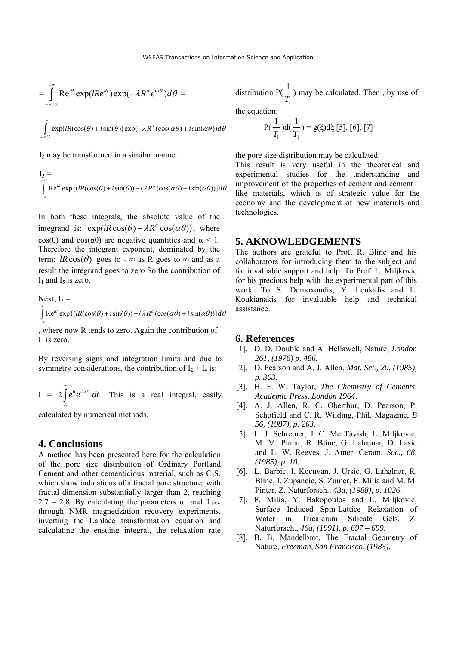$$
= \int_{-\pi/2}^{\pi} \text{Re}^{i\theta} \exp(lRe^{i\theta}) \exp(-\lambda R^{\alpha} e^{i\alpha\theta}) d\theta =
$$

$$
\int_{-\pi/2}^{\pi} \exp(lR(\cos(\theta) + i\sin(\theta))\exp(-\lambda R^{\alpha}(\cos(\alpha\theta) + i\sin(\alpha\theta))d\theta
$$

 $I<sub>5</sub>$  may be transformed in a similar manner:

$$
\begin{aligned} I_5 &= \\ \int\limits_{-\pi}^{\pi/2} \text{Re}^{i\theta} \exp\left\{ \left( \text{IR}(\cos(\theta) + i\sin(\theta)) - (\lambda R^{\alpha}(\cos(\alpha\theta) + i\sin(\alpha\theta)) \right) \right\} d\theta \end{aligned}
$$

In both these integrals, the absolute value of the integrand is:  $exp(lR\cos(\theta) - \lambda R^a\cos(\alpha\theta))$ , where cos(θ) and cos( $\alpha$ θ) are negative quantities and  $\alpha$  < 1. Therefore the integrant exponent, dominated by the term:  $lR\cos(\theta)$  goes to -  $\infty$  as R goes to  $\infty$  and as a result the integrand goes to zero So the contribution of  $I_1$  and  $I_5$  is zero.

Next, I<sub>3</sub> =  
\n
$$
\int_{-\pi}^{\pi} \text{Re}^{i\theta} \exp\{(lR(\cos(\theta) + i\sin(\theta)) - (\lambda R^{\alpha}(\cos(\alpha\theta) + i\sin(\alpha\theta)))\} d\theta
$$

, where now R tends to zero. Again the contribution of  $I<sub>5</sub>$  is zero.

By reversing signs and integration limits and due to symmetry considerations, the contribution of  $I_2 + I_4$  is:

 $I = 2$ 0  $e^{lt}e^{-\lambda t^{\alpha}}dt$ ∞  $\int e^{it} e^{-\lambda t^a} dt$ . This is a real integral, easily

calculated by numerical methods.

### **4. Conclusions**

A method has been presented here for the calculation of the pore size distribution of Ordinary Portland Cement and other cementicious material, such as  $C_3S$ , which show indications of a fractal pore structure, with fractal dimension substantially larger than 2, reaching 2.7 – 2.8. By calculating the parameters  $\alpha$  and T<sub>1AV</sub> through NMR magnetization recovery experiments, inverting the Laplace transformation equation and calculating the ensuing integral, the relaxation rate distribution P( 1 1  $\frac{1}{T_1}$ ) may be calculated. Then, by use of

the equation:

$$
P(\frac{1}{T_1})d(\frac{1}{T_1}) = g(\xi)d\xi [5], [6], [7]
$$

the pore size distribution may be calculated.

This result is very useful in the theoretical and experimental studies for the understanding and improvement of the properties of cement and cement – like materials, which is of strategic value for the economy and the development of new materials and technologies.

### **5. AKNOWLEDGEMENTS**

The authors are grateful to Prof. R. Blinc and his collaborators for introducing them to the subject and for invaluable support and help. To Prof. L. Miljkovic for his precious help with the experimental part of this work. To S. Domoxoudis, Y. Loukidis and L. Koukianakis for invaluable help and technical assistance.

#### **6. References**

- [1]. D. D. Double and A. Hellawell, Nature, *London 261, (1976) p. 486.*
- [2]. D. Pearson and A. J. Allen, *Mat. Sci., 20, (1985), p. 303.*
- [3]. H. F. W. Taylor, *The Chemistry of Cements, Academic Press, London 1964*.
- [4]. A. J. Allen, R. C. Oberthur, D. Pearson, P. Schofield and C. R. Wilding, Phil. Magazine, *B 56, (1987), p. 263.*
- [5]. L. J. Schreiner, J. C. Mc Tavish, L. Miljkovic, M. M. Pintar, R. Blinc, G. Lahajnar, D. Lasic and L. W. Reeves, J. Amer. Ceram. *Soc., 68, (1985), p. 10.*
- [6]. L. Barbic, I. Kocuvan, J. Ursic, G. Lahalnar, R. Blinc, I. Zupancic, S. Zumer, F. Milia and M. M. Pintar, Z. Naturforsch., *43a, (1988), p. 1026*.
- [7]. F. Milia, Y. Bakopoulos and L. Miljkovic, Surface Induced Spin-Lattice Relaxation of Water in Tricalcium Silicate Gels, Z. Naturforsch., *46a, (1991), p. 697 – 699*.
- [8]. B. B. Mandelbrot, The Fractal Geometry of Nature, *Freeman, San Francisco, (1983).*